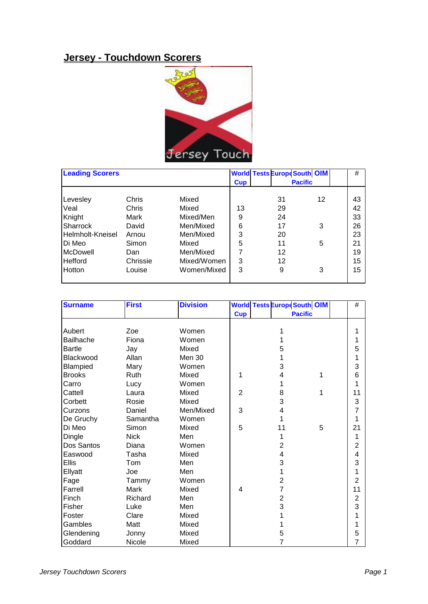## **Jersey - Touchdown Scorers**



| <b>Leading Scorers</b> |          |             |            | <b>World Tests Europe South OIM</b> |    | #  |
|------------------------|----------|-------------|------------|-------------------------------------|----|----|
|                        |          |             | <b>Cup</b> | <b>Pacific</b>                      |    |    |
| Levesley               | Chris    | Mixed       |            | 31                                  | 12 | 43 |
| Veal                   | Chris    | Mixed       | 13         | 29                                  |    | 42 |
| Knight                 | Mark     | Mixed/Men   | 9          | 24                                  |    | 33 |
| Sharrock               | David    | Men/Mixed   | 6          | 17                                  | 3  | 26 |
| Helmholt-Kneisel       | Arnou    | Men/Mixed   | 3          | 20                                  |    | 23 |
| IDi Meo                | Simon    | Mixed       | 5          | 11                                  | 5  | 21 |
| McDowell               | Dan      | Men/Mixed   | 7          | 12                                  |    | 19 |
| Hefford                | Chrissie | Mixed/Women | 3          | 12                                  |    | 15 |
| <b>Hotton</b>          | Louise   | Women/Mixed | 3          | 9                                   | 3  | 15 |
|                        |          |             |            |                                     |    |    |

| <b>Surname</b>   | <b>First</b> | <b>Division</b> |                | <b>World Tests Europe South OIM</b> |                |                |  |  |
|------------------|--------------|-----------------|----------------|-------------------------------------|----------------|----------------|--|--|
|                  |              |                 | <b>Cup</b>     |                                     | <b>Pacific</b> |                |  |  |
|                  |              |                 |                |                                     |                |                |  |  |
| Aubert           | Zoe          | Women           |                |                                     |                | 1              |  |  |
| <b>Bailhache</b> | Fiona        | Women           |                | 1                                   |                | 1              |  |  |
| <b>Bartle</b>    | Jay          | Mixed           |                | 5                                   |                | 5              |  |  |
| Blackwood        | Allan        | <b>Men 30</b>   |                | 1                                   |                | 1              |  |  |
| Blampied         | Mary         | Women           |                | 3                                   |                | 3              |  |  |
| <b>Brooks</b>    | Ruth         | Mixed           | 1              | 4                                   | 1              | 6              |  |  |
| Carro            | Lucy         | Women           |                | 1                                   |                | 1              |  |  |
| Cattell          | Laura        | Mixed           | $\overline{2}$ | 8                                   | 1              | 11             |  |  |
| Corbett          | Rosie        | Mixed           |                | 3                                   |                | 3              |  |  |
| Curzons          | Daniel       | Men/Mixed       | 3              | 4                                   |                | 7              |  |  |
| De Gruchy        | Samantha     | Women           |                | 1                                   |                | 1              |  |  |
| Di Meo           | Simon        | Mixed           | 5              | 11                                  | 5              | 21             |  |  |
| Dingle           | <b>Nick</b>  | Men             |                | 1                                   |                | 1              |  |  |
| Dos Santos       | Diana        | Women           |                | $\overline{2}$                      |                | $\overline{2}$ |  |  |
| Easwood          | Tasha        | Mixed           |                | $\overline{\mathbf{4}}$             |                | 4              |  |  |
| <b>Ellis</b>     | Tom          | Men             |                | 3                                   |                | 3              |  |  |
| Ellyatt          | Joe          | Men             |                | 1                                   |                | 1              |  |  |
| Fage             | Tammy        | Women           |                | $\overline{2}$                      |                | $\overline{2}$ |  |  |
| Farrell          | Mark         | Mixed           | $\overline{4}$ | $\overline{7}$                      |                | 11             |  |  |
| Finch            | Richard      | Men             |                | $\overline{2}$                      |                | $\overline{2}$ |  |  |
| Fisher           | Luke         | Men             |                | 3                                   |                | 3              |  |  |
| Foster           | Clare        | Mixed           |                | 1                                   |                | 1              |  |  |
| Gambles          | Matt         | Mixed           |                |                                     |                | 1              |  |  |
| Glendening       | Jonny        | Mixed           |                | 5                                   |                | 5              |  |  |
| Goddard          | Nicole       | Mixed           |                | $\overline{7}$                      |                | $\overline{7}$ |  |  |